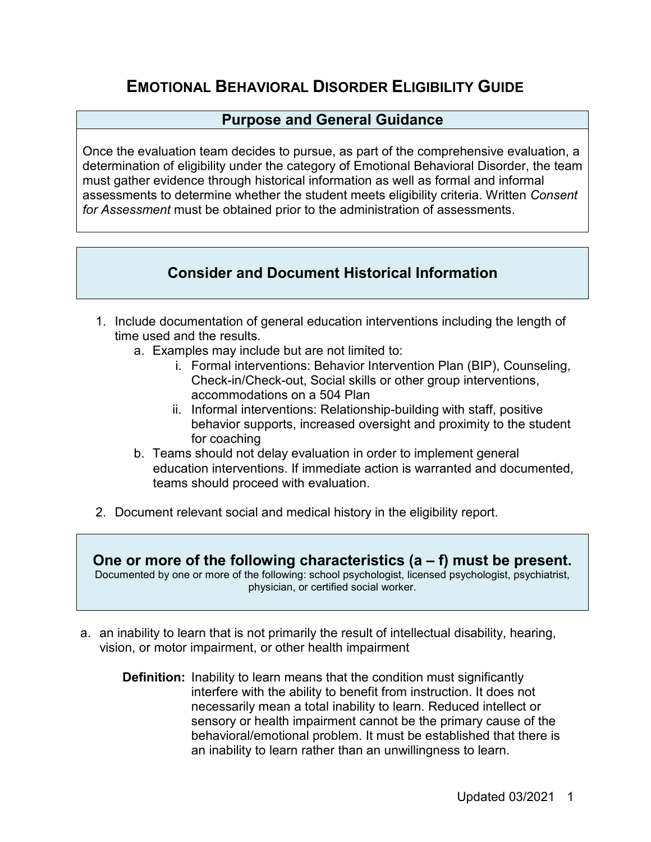# **EMOTIONAL BEHAVIORAL DISORDER ELIGIBILITY GUIDE**

# **Purpose and General Guidance**

Once the evaluation team decides to pursue, as part of the comprehensive evaluation, a determination of eligibility under the category of Emotional Behavioral Disorder, the team must gather evidence through historical information as well as formal and informal assessments to determine whether the student meets eligibility criteria. Written *Consent for Assessment* must be obtained prior to the administration of assessments.

# **Consider and Document Historical Information**

- 1. Include documentation of general education interventions including the length of time used and the results.
	- a. Examples may include but are not limited to:
		- i. Formal interventions: Behavior Intervention Plan (BIP), Counseling, Check-in/Check-out, Social skills or other group interventions, accommodations on a 504 Plan
		- ii. Informal interventions: Relationship-building with staff, positive behavior supports, increased oversight and proximity to the student for coaching
	- b. Teams should not delay evaluation in order to implement general education interventions. If immediate action is warranted and documented, teams should proceed with evaluation.
- 2. Document relevant social and medical history in the eligibility report.

**One or more of the following characteristics (a – f) must be present.** Documented by one or more of the following: school psychologist, licensed psychologist, psychiatrist, physician, or certified social worker.

- a. an inability to learn that is not primarily the result of intellectual disability, hearing, vision, or motor impairment, or other health impairment
	- **Definition:** Inability to learn means that the condition must significantly interfere with the ability to benefit from instruction. It does not necessarily mean a total inability to learn. Reduced intellect or sensory or health impairment cannot be the primary cause of the behavioral/emotional problem. It must be established that there is an inability to learn rather than an unwillingness to learn.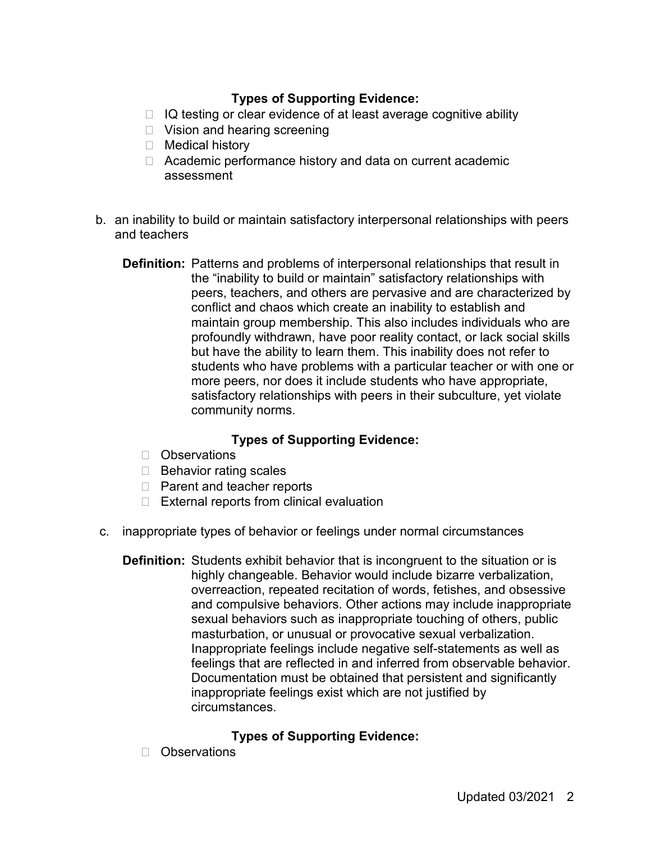# **Types of Supporting Evidence:**

- $\Box$  IQ testing or clear evidence of at least average cognitive ability
- □ Vision and hearing screening
- □ Medical history
- □ Academic performance history and data on current academic assessment
- b. an inability to build or maintain satisfactory interpersonal relationships with peers and teachers
	- **Definition:** Patterns and problems of interpersonal relationships that result in the "inability to build or maintain" satisfactory relationships with peers, teachers, and others are pervasive and are characterized by conflict and chaos which create an inability to establish and maintain group membership. This also includes individuals who are profoundly withdrawn, have poor reality contact, or lack social skills but have the ability to learn them. This inability does not refer to students who have problems with a particular teacher or with one or more peers, nor does it include students who have appropriate, satisfactory relationships with peers in their subculture, yet violate community norms.

## **Types of Supporting Evidence:**

- Observations
- $\Box$  Behavior rating scales
- □ Parent and teacher reports
- $\Box$  External reports from clinical evaluation
- c. inappropriate types of behavior or feelings under normal circumstances
	- **Definition:** Students exhibit behavior that is incongruent to the situation or is highly changeable. Behavior would include bizarre verbalization, overreaction, repeated recitation of words, fetishes, and obsessive and compulsive behaviors. Other actions may include inappropriate sexual behaviors such as inappropriate touching of others, public masturbation, or unusual or provocative sexual verbalization. Inappropriate feelings include negative self-statements as well as feelings that are reflected in and inferred from observable behavior. Documentation must be obtained that persistent and significantly inappropriate feelings exist which are not justified by circumstances.

## **Types of Supporting Evidence:**

□ Observations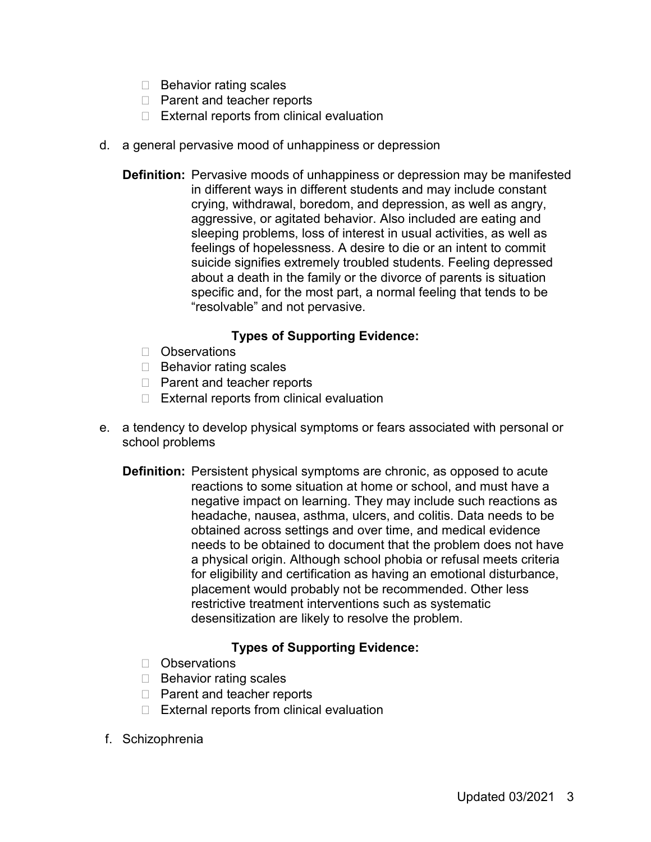- $\Box$  Behavior rating scales
- $\Box$  Parent and teacher reports
- $\Box$  External reports from clinical evaluation
- d. a general pervasive mood of unhappiness or depression
	- **Definition:** Pervasive moods of unhappiness or depression may be manifested in different ways in different students and may include constant crying, withdrawal, boredom, and depression, as well as angry, aggressive, or agitated behavior. Also included are eating and sleeping problems, loss of interest in usual activities, as well as feelings of hopelessness. A desire to die or an intent to commit suicide signifies extremely troubled students. Feeling depressed about a death in the family or the divorce of parents is situation specific and, for the most part, a normal feeling that tends to be "resolvable" and not pervasive.

## **Types of Supporting Evidence:**

- **D** Observations
- $\Box$  Behavior rating scales
- □ Parent and teacher reports
- $\Box$  External reports from clinical evaluation
- e. a tendency to develop physical symptoms or fears associated with personal or school problems
	- **Definition:** Persistent physical symptoms are chronic, as opposed to acute reactions to some situation at home or school, and must have a negative impact on learning. They may include such reactions as headache, nausea, asthma, ulcers, and colitis. Data needs to be obtained across settings and over time, and medical evidence needs to be obtained to document that the problem does not have a physical origin. Although school phobia or refusal meets criteria for eligibility and certification as having an emotional disturbance, placement would probably not be recommended. Other less restrictive treatment interventions such as systematic desensitization are likely to resolve the problem.

## **Types of Supporting Evidence:**

- □ Observations
- $\Box$  Behavior rating scales
- □ Parent and teacher reports
- $\Box$  External reports from clinical evaluation
- f. Schizophrenia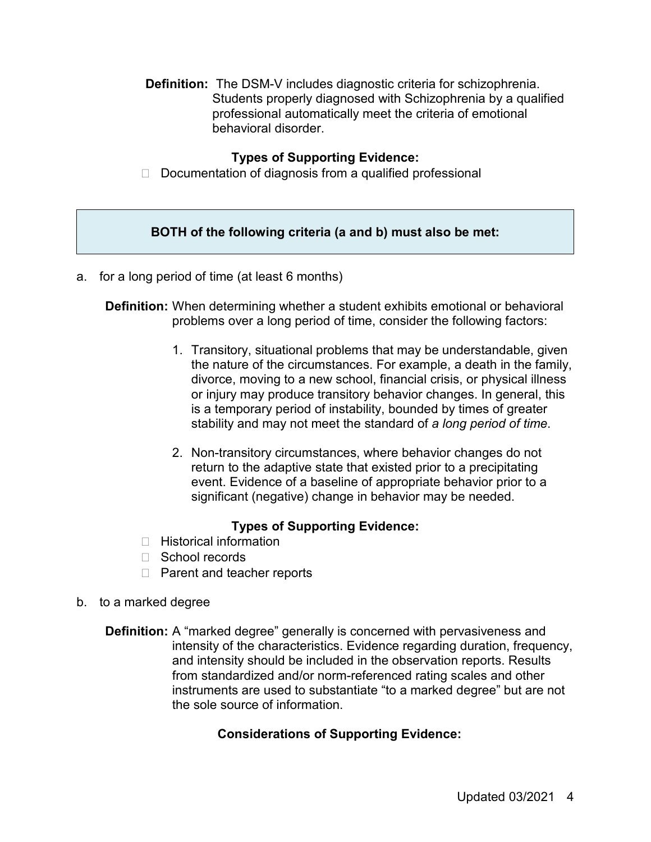**Definition:** The DSM-V includes diagnostic criteria for schizophrenia. Students properly diagnosed with Schizophrenia by a qualified professional automatically meet the criteria of emotional behavioral disorder.

#### **Types of Supporting Evidence:**

 $\Box$  Documentation of diagnosis from a qualified professional

#### **BOTH of the following criteria (a and b) must also be met:**

a. for a long period of time (at least 6 months)

**Definition:** When determining whether a student exhibits emotional or behavioral problems over a long period of time, consider the following factors:

- 1. Transitory, situational problems that may be understandable, given the nature of the circumstances. For example, a death in the family, divorce, moving to a new school, financial crisis, or physical illness or injury may produce transitory behavior changes. In general, this is a temporary period of instability, bounded by times of greater stability and may not meet the standard of *a long period of time*.
- 2. Non-transitory circumstances, where behavior changes do not return to the adaptive state that existed prior to a precipitating event. Evidence of a baseline of appropriate behavior prior to a significant (negative) change in behavior may be needed.

## **Types of Supporting Evidence:**

- $\Box$  Historical information
- □ School records
- □ Parent and teacher reports
- b. to a marked degree
	- **Definition:** A "marked degree" generally is concerned with pervasiveness and intensity of the characteristics. Evidence regarding duration, frequency, and intensity should be included in the observation reports. Results from standardized and/or norm-referenced rating scales and other instruments are used to substantiate "to a marked degree" but are not the sole source of information.

## **Considerations of Supporting Evidence:**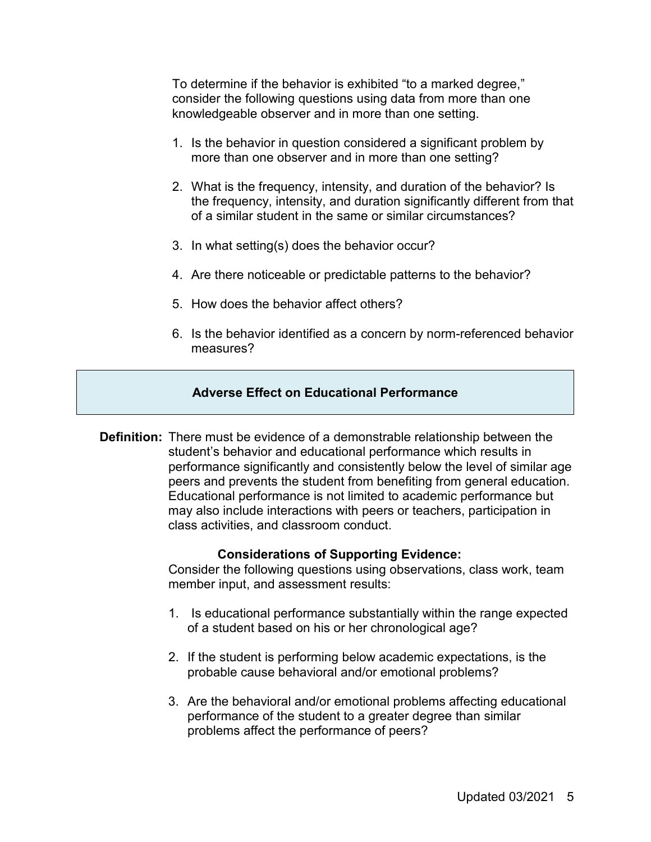To determine if the behavior is exhibited "to a marked degree," consider the following questions using data from more than one knowledgeable observer and in more than one setting.

- 1. Is the behavior in question considered a significant problem by more than one observer and in more than one setting?
- 2. What is the frequency, intensity, and duration of the behavior? Is the frequency, intensity, and duration significantly different from that of a similar student in the same or similar circumstances?
- 3. In what setting(s) does the behavior occur?
- 4. Are there noticeable or predictable patterns to the behavior?
- 5. How does the behavior affect others?
- 6. Is the behavior identified as a concern by norm-referenced behavior measures?

#### **Adverse Effect on Educational Performance**

**Definition:** There must be evidence of a demonstrable relationship between the student's behavior and educational performance which results in performance significantly and consistently below the level of similar age peers and prevents the student from benefiting from general education. Educational performance is not limited to academic performance but may also include interactions with peers or teachers, participation in class activities, and classroom conduct.

#### **Considerations of Supporting Evidence:**

Consider the following questions using observations, class work, team member input, and assessment results:

- 1. Is educational performance substantially within the range expected of a student based on his or her chronological age?
- 2. If the student is performing below academic expectations, is the probable cause behavioral and/or emotional problems?
- 3. Are the behavioral and/or emotional problems affecting educational performance of the student to a greater degree than similar problems affect the performance of peers?